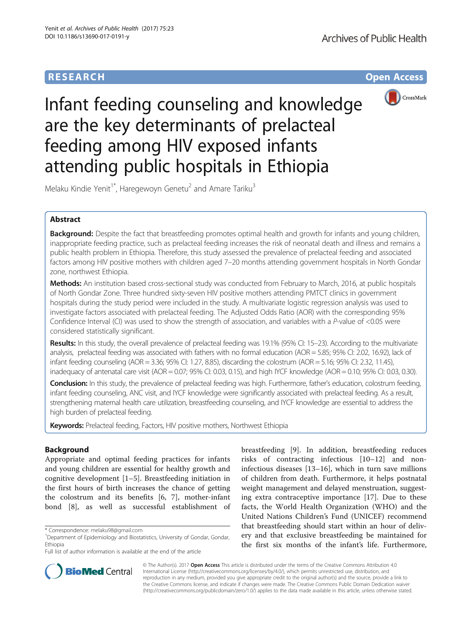# **RESEARCH CHE Open Access**



Infant feeding counseling and knowledge are the key determinants of prelacteal feeding among HIV exposed infants attending public hospitals in Ethiopia

Melaku Kindie Yenit<sup>1\*</sup>, Haregewoyn Genetu<sup>2</sup> and Amare Tariku<sup>3</sup>

## Abstract

Background: Despite the fact that breastfeeding promotes optimal health and growth for infants and young children, inappropriate feeding practice, such as prelacteal feeding increases the risk of neonatal death and illness and remains a public health problem in Ethiopia. Therefore, this study assessed the prevalence of prelacteal feeding and associated factors among HIV positive mothers with children aged 7–20 months attending government hospitals in North Gondar zone, northwest Ethiopia.

Methods: An institution based cross-sectional study was conducted from February to March, 2016, at public hospitals of North Gondar Zone. Three hundred sixty-seven HIV positive mothers attending PMTCT clinics in government hospitals during the study period were included in the study. A multivariate logistic regression analysis was used to investigate factors associated with prelacteal feeding. The Adjusted Odds Ratio (AOR) with the corresponding 95% Confidence Interval (CI) was used to show the strength of association, and variables with a P-value of <0.05 were considered statistically significant.

Results: In this study, the overall prevalence of prelacteal feeding was 19.1% (95% CI: 15–23). According to the multivariate analysis, prelacteal feeding was associated with fathers with no formal education (AOR = 5.85; 95% CI: 2.02, 16.92), lack of infant feeding counseling (AOR = 3.36; 95% CI: 1.27, 8.85), discarding the colostrum (AOR = 5.16; 95% CI: 2.32, 11.45), inadequacy of antenatal care visit (AOR = 0.07; 95% CI: 0.03, 0.15), and high IYCF knowledge (AOR = 0.10; 95% CI: 0.03, 0.30).

Conclusion: In this study, the prevalence of prelacteal feeding was high. Furthermore, father's education, colostrum feeding, infant feeding counseling, ANC visit, and IYCF knowledge were significantly associated with prelacteal feeding. As a result, strengthening maternal health care utilization, breastfeeding counseling, and IYCF knowledge are essential to address the high burden of prelacteal feeding.

Keywords: Prelacteal feeding, Factors, HIV positive mothers, Northwest Ethiopia

## Background

Appropriate and optimal feeding practices for infants and young children are essential for healthy growth and cognitive development [[1](#page-6-0)–[5](#page-6-0)]. Breastfeeding initiation in the first hours of birth increases the chance of getting the colostrum and its benefits [[6, 7](#page-6-0)], mother-infant bond [[8\]](#page-6-0), as well as successful establishment of breastfeeding [[9\]](#page-7-0). In addition, breastfeeding reduces risks of contracting infectious [\[10](#page-7-0)–[12](#page-7-0)] and noninfectious diseases [\[13](#page-7-0)–[16](#page-7-0)], which in turn save millions of children from death. Furthermore, it helps postnatal weight management and delayed menstruation, suggesting extra contraceptive importance [[17\]](#page-7-0). Due to these facts, the World Health Organization (WHO) and the United Nations Children's Fund (UNICEF) recommend that breastfeeding should start within an hour of delivery and that exclusive breastfeeding be maintained for the first six months of the infant's life. Furthermore,



© The Author(s). 2017 Open Access This article is distributed under the terms of the Creative Commons Attribution 4.0 International License [\(http://creativecommons.org/licenses/by/4.0/](http://creativecommons.org/licenses/by/4.0/)), which permits unrestricted use, distribution, and reproduction in any medium, provided you give appropriate credit to the original author(s) and the source, provide a link to the Creative Commons license, and indicate if changes were made. The Creative Commons Public Domain Dedication waiver [\(http://creativecommons.org/publicdomain/zero/1.0/](http://creativecommons.org/publicdomain/zero/1.0/)) applies to the data made available in this article, unless otherwise stated.

<sup>\*</sup> Correspondence: [melaku98@gmail.com](mailto:melaku98@gmail.com) <sup>1</sup>

Department of Epidemiology and Biostatistics, University of Gondar, Gondar, Ethiopia

Full list of author information is available at the end of the article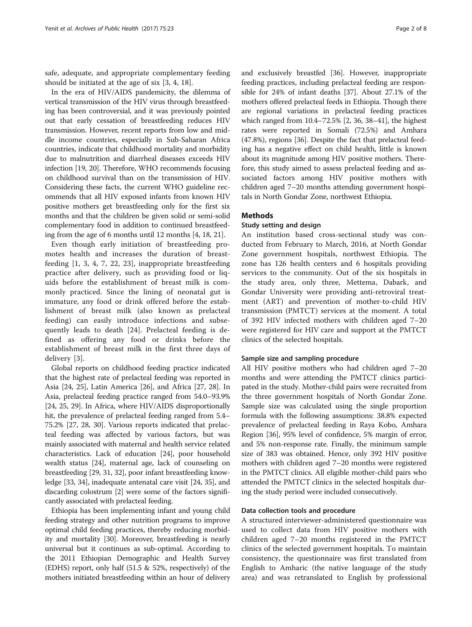safe, adequate, and appropriate complementary feeding should be initiated at the age of six [\[3](#page-6-0), [4](#page-6-0), [18](#page-7-0)].

In the era of HIV/AIDS pandemicity, the dilemma of vertical transmission of the HIV virus through breastfeeding has been controversial, and it was previously pointed out that early cessation of breastfeeding reduces HIV transmission. However, recent reports from low and middle income countries, especially in Sub-Saharan Africa countries, indicate that childhood mortality and morbidity due to malnutrition and diarrheal diseases exceeds HIV infection [[19](#page-7-0), [20](#page-7-0)]. Therefore, WHO recommends focusing on childhood survival than on the transmission of HIV. Considering these facts, the current WHO guideline recommends that all HIV exposed infants from known HIV positive mothers get breastfeeding only for the first six months and that the children be given solid or semi-solid complementary food in addition to continued breastfeeding from the age of 6 months until 12 months [[4,](#page-6-0) [18, 21](#page-7-0)].

Even though early initiation of breastfeeding promotes health and increases the duration of breastfeeding [\[1](#page-6-0), [3](#page-6-0), [4, 7,](#page-6-0) [22](#page-7-0), [23](#page-7-0)], inappropriate breastfeeding practice after delivery, such as providing food or liquids before the establishment of breast milk is commonly practiced. Since the lining of neonatal gut is immature, any food or drink offered before the establishment of breast milk (also known as prelacteal feeding) can easily introduce infections and subsequently leads to death [[24\]](#page-7-0). Prelacteal feeding is defined as offering any food or drinks before the establishment of breast milk in the first three days of delivery [\[3](#page-6-0)].

Global reports on childhood feeding practice indicated that the highest rate of prelacteal feeding was reported in Asia [[24, 25\]](#page-7-0), Latin America [\[26\]](#page-7-0), and Africa [\[27, 28](#page-7-0)]. In Asia, prelacteal feeding practice ranged from 54.0–93.9% [[24](#page-7-0), [25](#page-7-0), [29](#page-7-0)]. In Africa, where HIV/AIDS disproportionally hit, the prevalence of prelacteal feeding ranged from 5.4– 75.2% [[27](#page-7-0), [28](#page-7-0), [30\]](#page-7-0). Various reports indicated that prelacteal feeding was affected by various factors, but was mainly associated with maternal and health service related characteristics. Lack of education [\[24\]](#page-7-0), poor household wealth status [[24](#page-7-0)], maternal age, lack of counseling on breastfeeding [[29](#page-7-0), [31, 32](#page-7-0)], poor infant breastfeeding knowledge [[33](#page-7-0), [34\]](#page-7-0), inadequate antenatal care visit [\[24](#page-7-0), [35\]](#page-7-0), and discarding colostrum [\[2\]](#page-6-0) were some of the factors significantly associated with prelacteal feeding.

Ethiopia has been implementing infant and young child feeding strategy and other nutrition programs to improve optimal child feeding practices, thereby reducing morbidity and mortality [\[30\]](#page-7-0). Moreover, breastfeeding is nearly universal but it continues as sub-optimal. According to the 2011 Ethiopian Demographic and Health Survey (EDHS) report, only half (51.5 & 52%, respectively) of the mothers initiated breastfeeding within an hour of delivery and exclusively breastfed [\[36\]](#page-7-0). However, inappropriate feeding practices, including prelacteal feeding are responsible for 24% of infant deaths [\[37\]](#page-7-0). About 27.1% of the mothers offered prelacteal feeds in Ethiopia. Though there are regional variations in prelacteal feeding practices which ranged from 10.4–72.5% [\[2](#page-6-0), [36, 38](#page-7-0)–[41](#page-7-0)], the highest rates were reported in Somali (72.5%) and Amhara (47.8%), regions [\[36](#page-7-0)]. Despite the fact that prelacteal feeding has a negative effect on child health, little is known about its magnitude among HIV positive mothers. Therefore, this study aimed to assess prelacteal feeding and associated factors among HIV positive mothers with children aged 7–20 months attending government hospitals in North Gondar Zone, northwest Ethiopia.

## Methods

## Study setting and design

An institution based cross-sectional study was conducted from February to March, 2016, at North Gondar Zone government hospitals, northwest Ethiopia. The zone has 126 health centers and 6 hospitals providing services to the community. Out of the six hospitals in the study area, only three, Mettema, Dabark, and Gondar University were providing anti-retroviral treatment (ART) and prevention of mother-to-child HIV transmission (PMTCT) services at the moment. A total of 392 HIV infected mothers with children aged 7–20 were registered for HIV care and support at the PMTCT clinics of the selected hospitals.

## Sample size and sampling procedure

All HIV positive mothers who had children aged 7–20 months and were attending the PMTCT clinics participated in the study. Mother-child pairs were recruited from the three government hospitals of North Gondar Zone. Sample size was calculated using the single proportion formula with the following assumptions: 38.8% expected prevalence of prelacteal feeding in Raya Kobo, Amhara Region [\[36\]](#page-7-0), 95% level of confidence, 5% margin of error, and 5% non-response rate. Finally, the minimum sample size of 383 was obtained. Hence, only 392 HIV positive mothers with children aged 7–20 months were registered in the PMTCT clinics. All eligible mother-child pairs who attended the PMTCT clinics in the selected hospitals during the study period were included consecutively.

## Data collection tools and procedure

A structured interviewer-administered questionnaire was used to collect data from HIV positive mothers with children aged 7–20 months registered in the PMTCT clinics of the selected government hospitals. To maintain consistency, the questionnaire was first translated from English to Amharic (the native language of the study area) and was retranslated to English by professional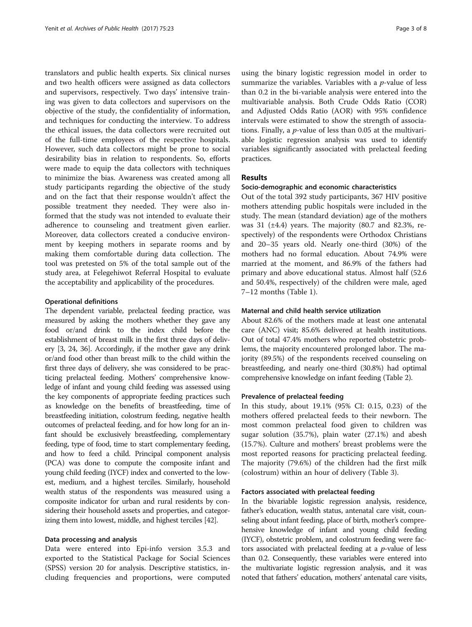translators and public health experts. Six clinical nurses and two health officers were assigned as data collectors and supervisors, respectively. Two days' intensive training was given to data collectors and supervisors on the objective of the study, the confidentiality of information, and techniques for conducting the interview. To address the ethical issues, the data collectors were recruited out of the full-time employees of the respective hospitals. However, such data collectors might be prone to social desirability bias in relation to respondents. So, efforts were made to equip the data collectors with techniques to minimize the bias. Awareness was created among all study participants regarding the objective of the study and on the fact that their response wouldn't affect the possible treatment they needed. They were also informed that the study was not intended to evaluate their adherence to counseling and treatment given earlier. Moreover, data collectors created a conducive environment by keeping mothers in separate rooms and by making them comfortable during data collection. The tool was pretested on 5% of the total sample out of the study area, at Felegehiwot Referral Hospital to evaluate the acceptability and applicability of the procedures.

#### Operational definitions

The dependent variable, prelacteal feeding practice, was measured by asking the mothers whether they gave any food or/and drink to the index child before the establishment of breast milk in the first three days of delivery [[3](#page-6-0), [24, 36\]](#page-7-0). Accordingly, if the mother gave any drink or/and food other than breast milk to the child within the first three days of delivery, she was considered to be practicing prelacteal feeding. Mothers' comprehensive knowledge of infant and young child feeding was assessed using the key components of appropriate feeding practices such as knowledge on the benefits of breastfeeding, time of breastfeeding initiation, colostrum feeding, negative health outcomes of prelacteal feeding, and for how long for an infant should be exclusively breastfeeding, complementary feeding, type of food, time to start complementary feeding, and how to feed a child. Principal component analysis (PCA) was done to compute the composite infant and young child feeding (IYCF) index and converted to the lowest, medium, and a highest terciles. Similarly, household wealth status of the respondents was measured using a composite indicator for urban and rural residents by considering their household assets and properties, and categorizing them into lowest, middle, and highest terciles [[42](#page-7-0)].

## Data processing and analysis

Data were entered into Epi-info version 3.5.3 and exported to the Statistical Package for Social Sciences (SPSS) version 20 for analysis. Descriptive statistics, including frequencies and proportions, were computed using the binary logistic regression model in order to summarize the variables. Variables with a  $p$ -value of less than 0.2 in the bi-variable analysis were entered into the multivariable analysis. Both Crude Odds Ratio (COR) and Adjusted Odds Ratio (AOR) with 95% confidence intervals were estimated to show the strength of associations. Finally, a  $p$ -value of less than 0.05 at the multivariable logistic regression analysis was used to identify variables significantly associated with prelacteal feeding practices.

## Results

### Socio-demographic and economic characteristics

Out of the total 392 study participants, 367 HIV positive mothers attending public hospitals were included in the study. The mean (standard deviation) age of the mothers was 31  $(\pm 4.4)$  years. The majority (80.7 and 82.3%, respectively) of the respondents were Orthodox Christians and 20–35 years old. Nearly one-third (30%) of the mothers had no formal education. About 74.9% were married at the moment, and 86.9% of the fathers had primary and above educational status. Almost half (52.6 and 50.4%, respectively) of the children were male, aged 7–12 months (Table [1](#page-3-0)).

## Maternal and child health service utilization

About 82.6% of the mothers made at least one antenatal care (ANC) visit; 85.6% delivered at health institutions. Out of total 47.4% mothers who reported obstetric problems, the majority encountered prolonged labor. The majority (89.5%) of the respondents received counseling on breastfeeding, and nearly one-third (30.8%) had optimal comprehensive knowledge on infant feeding (Table [2\)](#page-4-0).

#### Prevalence of prelacteal feeding

In this study, about 19.1% (95% CI: 0.15, 0.23) of the mothers offered prelacteal feeds to their newborn. The most common prelacteal food given to children was sugar solution (35.7%), plain water (27.1%) and abesh (15.7%). Culture and mothers' breast problems were the most reported reasons for practicing prelacteal feeding. The majority (79.6%) of the children had the first milk (colostrum) within an hour of delivery (Table [3\)](#page-4-0).

#### Factors associated with prelacteal feeding

In the bivariable logistic regression analysis, residence, father's education, wealth status, antenatal care visit, counseling about infant feeding, place of birth, mother's comprehensive knowledge of infant and young child feeding (IYCF), obstetric problem, and colostrum feeding were factors associated with prelacteal feeding at a  $p$ -value of less than 0.2. Consequently, these variables were entered into the multivariate logistic regression analysis, and it was noted that fathers' education, mothers' antenatal care visits,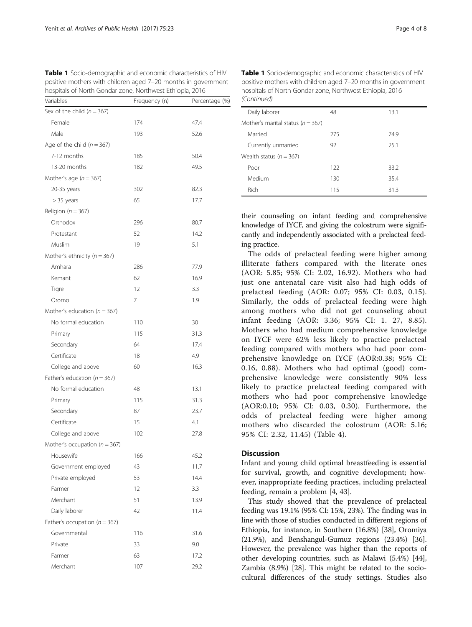| Variables                         | Frequency (n) | Percentage (%) |
|-----------------------------------|---------------|----------------|
| Sex of the child $(n = 367)$      |               |                |
| Female                            | 174           | 47.4           |
| Male                              | 193           | 52.6           |
| Age of the child $(n = 367)$      |               |                |
| 7-12 months                       | 185           | 50.4           |
| 13-20 months                      | 182           | 49.5           |
| Mother's age $(n = 367)$          |               |                |
| 20-35 years                       | 302           | 82.3           |
| > 35 years                        | 65            | 17.7           |
| Religion ( $n = 367$ )            |               |                |
| Orthodox                          | 296           | 80.7           |
| Protestant                        | 52            | 14.2           |
| Muslim                            | 19            | 5.1            |
| Mother's ethnicity ( $n = 367$ )  |               |                |
| Amhara                            | 286           | 77.9           |
| Kemant                            | 62            | 16.9           |
| Tigre                             | 12            | 3.3            |
| Oromo                             | 7             | 1.9            |
| Mother's education ( $n = 367$ )  |               |                |
| No formal education               | 110           | 30             |
| Primary                           | 115           | 31.3           |
| Secondary                         | 64            | 17.4           |
| Certificate                       | 18            | 4.9            |
| College and above                 | 60            | 16.3           |
| Father's education ( $n = 367$ )  |               |                |
| No formal education               | 48            | 13.1           |
| Primary                           | 115           | 31.3           |
| Secondary                         | 87            | 23.7           |
| Certificate                       | 15            | 4.1            |
| College and above                 | 102           | 27.8           |
| Mother's occupation ( $n = 367$ ) |               |                |
| Housewife                         | 166           | 45.2           |
| Government employed               | 43            | 11.7           |
| Private employed                  | 53            | 14.4           |
| Farmer                            | 12            | 3.3            |
| Merchant                          | 51            | 13.9           |
| Daily laborer                     | 42            | 11.4           |
| Father's occupation ( $n = 367$ ) |               |                |
| Governmental                      | 116           | 31.6           |
| Private                           | 33            | 9.0            |
| Farmer                            | 63            | 17.2           |
| Merchant                          | 107           | 29.2           |

<span id="page-3-0"></span>Table 1 Socio-demographic and economic characteristics of HIV positive mothers with children aged 7–20 months in government hospitals of North Gondar zone, Northwest Ethiopia, 2016

| (Continued)                           |     |      |  |
|---------------------------------------|-----|------|--|
| Daily laborer                         | 48  | 13.1 |  |
| Mother's marital status ( $n = 367$ ) |     |      |  |
| Married                               | 275 | 74.9 |  |
| Currently unmarried                   | 92  | 25.1 |  |
| Wealth status $(n = 367)$             |     |      |  |
| Poor                                  | 122 | 33.2 |  |
| Medium                                | 130 | 35.4 |  |
| Rich                                  | 115 | 31.3 |  |

Table 1 Socio-demographic and economic characteristics of HIV positive mothers with children aged 7–20 months in government hospitals of North Gondar zone, Northwest Ethiopia, 2016

their counseling on infant feeding and comprehensive knowledge of IYCF, and giving the colostrum were significantly and independently associated with a prelacteal feeding practice.

The odds of prelacteal feeding were higher among illiterate fathers compared with the literate ones (AOR: 5.85; 95% CI: 2.02, 16.92). Mothers who had just one antenatal care visit also had high odds of prelacteal feeding (AOR: 0.07; 95% CI: 0.03, 0.15). Similarly, the odds of prelacteal feeding were high among mothers who did not get counseling about infant feeding (AOR: 3.36; 95% CI: 1. 27, 8.85). Mothers who had medium comprehensive knowledge on IYCF were 62% less likely to practice prelacteal feeding compared with mothers who had poor comprehensive knowledge on IYCF (AOR:0.38; 95% CI: 0.16, 0.88). Mothers who had optimal (good) comprehensive knowledge were consistently 90% less likely to practice prelacteal feeding compared with mothers who had poor comprehensive knowledge (AOR:0.10; 95% CI: 0.03, 0.30). Furthermore, the odds of prelacteal feeding were higher among mothers who discarded the colostrum (AOR: 5.16; 95% CI: 2.32, 11.45) (Table [4\)](#page-5-0).

## **Discussion**

Infant and young child optimal breastfeeding is essential for survival, growth, and cognitive development; however, inappropriate feeding practices, including prelacteal feeding, remain a problem [[4,](#page-6-0) [43\]](#page-7-0).

This study showed that the prevalence of prelacteal feeding was 19.1% (95% CI: 15%, 23%). The finding was in line with those of studies conducted in different regions of Ethiopia, for instance, in Southern (16.8%) [[38](#page-7-0)], Oromiya (21.9%), and Benshangul-Gumuz regions (23.4%) [[36](#page-7-0)]. However, the prevalence was higher than the reports of other developing countries, such as Malawi (5.4%) [[44](#page-7-0)], Zambia (8.9%) [\[28](#page-7-0)]. This might be related to the sociocultural differences of the study settings. Studies also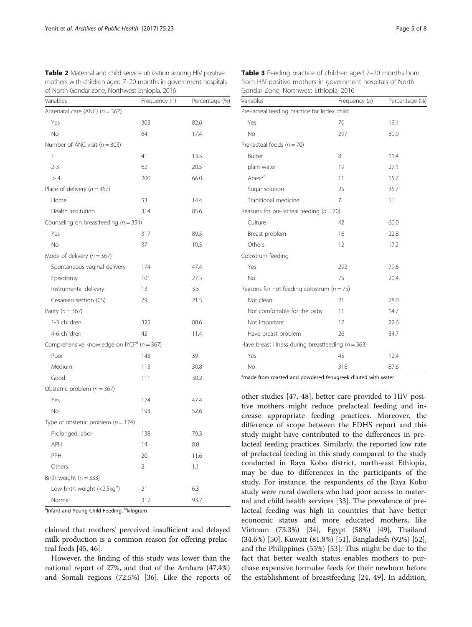| Variables                                                  | Frequency (n)  | Percentage (%) |
|------------------------------------------------------------|----------------|----------------|
| Antenatal care (ANC) $(n = 367)$                           |                |                |
| Yes                                                        | 303            | 82.6           |
| No                                                         | 64             | 17.4           |
| Number of ANC visit ( $n = 303$ )                          |                |                |
| 1                                                          | 41             | 13.5           |
| $2 - 3$                                                    | 62             | 20.5           |
| >4                                                         | 200            | 66.0           |
| Place of delivery ( $n = 367$ )                            |                |                |
| Home                                                       | 53             | 14.4           |
| Health institution                                         | 314            | 85.6           |
| Counseling on breastfeeding ( $n = 354$ )                  |                |                |
| Yes                                                        | 317            | 89.5           |
| No                                                         | 37             | 10.5           |
| Mode of delivery ( $n = 367$ )                             |                |                |
| Spontaneous vaginal delivery                               | 174            | 47.4           |
| Episotomy                                                  | 101            | 27.5           |
| Instrumental delivery                                      | 13             | 3.5            |
| Cesarean section (CS)                                      | 79             | 21.5           |
| Parity ( $n = 367$ )                                       |                |                |
| 1-3 children                                               | 325            | 88.6           |
| 4-6 children                                               | 42             | 11.4           |
| Comprehensive knowledge on IYCF <sup>a</sup> ( $n = 367$ ) |                |                |
| Poor                                                       | 143            | 39             |
| Medium                                                     | 113            | 30.8           |
| Good                                                       | 111            | 30.2           |
| Obstetric problem ( $n = 367$ )                            |                |                |
| Yes                                                        | 174            | 47.4           |
| No                                                         | 193            | 52.6           |
| Type of obstetric problem $(n = 174)$                      |                |                |
| Prolonged labor                                            | 138            | 79.3           |
| <b>APH</b>                                                 | 14             | 8.0            |
| PPH                                                        | 20             | 11.6           |
| Others                                                     | $\overline{2}$ | 1.1            |
| Birth weight ( $n = 333$ )                                 |                |                |
| Low birth weight (<2.5kgb)                                 | 21             | 6.3            |
| Normal                                                     | 312            | 93.7           |

<span id="page-4-0"></span>Table 2 Maternal and child service utilization among HIV positive mothers with children aged 7–20 months in government hospitals of North Gondar zone, Northwest Ethiopia, 2016

<sup>a</sup>Infant and Young Child Feeding, <sup>b</sup>kilogram

claimed that mothers' perceived insufficient and delayed milk production is a common reason for offering prelacteal feeds [\[45](#page-7-0), [46](#page-7-0)].

However, the finding of this study was lower than the national report of 27%, and that of the Amhara (47.4%) and Somali regions (72.5%) [\[36\]](#page-7-0). Like the reports of

Table 3 Feeding practice of children aged 7-20 months born from HIV positive mothers in government hospitals of North Gondar Zone, Northwest Ethiopia, 2016

| Variables                                              | Frequency (n) | Percentage (%) |  |  |
|--------------------------------------------------------|---------------|----------------|--|--|
| Pre-lacteal feeding practice for index child           |               |                |  |  |
| Yes                                                    | 70            | 19.1           |  |  |
| No                                                     | 297           | 80.9           |  |  |
| Pre-lacteal foods $(n = 70)$                           |               |                |  |  |
| Butter                                                 | 8             | 11.4           |  |  |
| plain water                                            | 19            | 27.1           |  |  |
| Abesh <sup>a</sup>                                     | 11            | 15.7           |  |  |
| Sugar solution                                         | 25            | 35.7           |  |  |
| Traditional medicine                                   | 7             | 1.1            |  |  |
| Reasons for pre-lacteal feeding ( $n = 70$ )           |               |                |  |  |
| Culture                                                | 42            | 60.0           |  |  |
| Breast problem                                         | 16            | 22.8           |  |  |
| Others                                                 | 12            | 17.2           |  |  |
| Colostrum feeding                                      |               |                |  |  |
| Yes                                                    | 292           | 79.6           |  |  |
| No                                                     | 75            | 20.4           |  |  |
| Reasons for not feeding colostrum ( $n = 75$ )         |               |                |  |  |
| Not clean                                              | 21            | 28.0           |  |  |
| Not comfortable for the baby                           | 11            | 14.7           |  |  |
| Not important                                          | 17            | 22.6           |  |  |
| Have breast problem                                    | 26            | 34.7           |  |  |
| Have breast illness during breastfeeding ( $n = 363$ ) |               |                |  |  |
| Yes                                                    | 45            | 12.4           |  |  |
| No                                                     | 318           | 87.6           |  |  |

<sup>a</sup>made from roasted and powdered fenugreek diluted with water

other studies [[47](#page-7-0), [48\]](#page-7-0), better care provided to HIV positive mothers might reduce prelacteal feeding and increase appropriate feeding practices. Moreover, the difference of scope between the EDHS report and this study might have contributed to the differences in prelacteal feeding practices. Similarly, the reported low rate of prelacteal feeding in this study compared to the study conducted in Raya Kobo district, north-east Ethiopia, may be due to differences in the participants of the study. For instance, the respondents of the Raya Kobo study were rural dwellers who had poor access to maternal and child health services [\[33\]](#page-7-0). The prevalence of prelacteal feeding was high in countries that have better economic status and more educated mothers, like Vietnam (73.3%) [[34](#page-7-0)], Egypt (58%) [\[49](#page-7-0)], Thailand (34.6%) [[50\]](#page-7-0), Kuwait (81.8%) [\[51\]](#page-7-0), Bangladesh (92%) [\[52](#page-7-0)], and the Philippines (55%) [[53\]](#page-7-0). This might be due to the fact that better wealth status enables mothers to purchase expensive formulae feeds for their newborn before the establishment of breastfeeding [\[24](#page-7-0), [49\]](#page-7-0). In addition,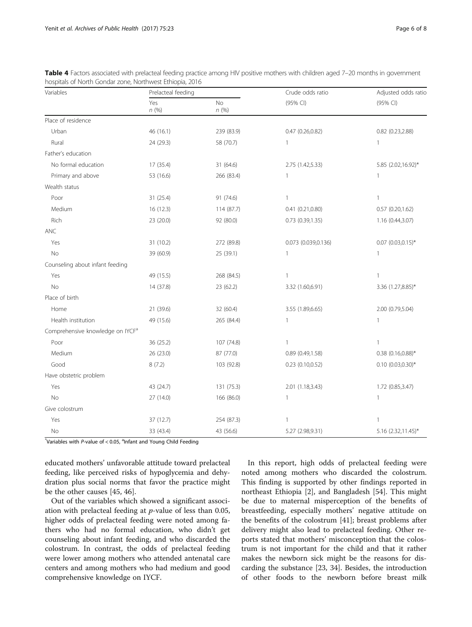| Variables                                    | Prelacteal feeding |                   | Crude odds ratio<br>(95% CI) | Adjusted odds ratio<br>(95% CI) |
|----------------------------------------------|--------------------|-------------------|------------------------------|---------------------------------|
|                                              | Yes<br>n(%)        | <b>No</b><br>n(%) |                              |                                 |
| Place of residence                           |                    |                   |                              |                                 |
| Urban                                        | 46 (16.1)          | 239 (83.9)        | 0.47(0.26, 0.82)             | 0.82 (0.23,2.88)                |
| Rural                                        | 24 (29.3)          | 58 (70.7)         | $\mathbf{1}$                 | 1                               |
| Father's education                           |                    |                   |                              |                                 |
| No formal education                          | 17 (35.4)          | 31 (64.6)         | 2.75 (1.42,5.33)             | 5.85 (2.02,16.92)*              |
| Primary and above                            | 53 (16.6)          | 266 (83.4)        | $\mathbf{1}$                 | 1                               |
| Wealth status                                |                    |                   |                              |                                 |
| Poor                                         | 31 (25.4)          | 91 (74.6)         | $\mathbf{1}$                 | $\mathbf{1}$                    |
| Medium                                       | 16 (12.3)          | 114 (87.7)        | 0.41(0.21, 0.80)             | 0.57(0.20, 1.62)                |
| Rich                                         | 23 (20.0)          | 92 (80.0)         | 0.73 (0.39,1.35)             | 1.16 (0.44,3.07)                |
| <b>ANC</b>                                   |                    |                   |                              |                                 |
| Yes                                          | 31 (10.2)          | 272 (89.8)        | 0.073 (0.039,0.136)          | $0.07$ (0.03,0.15)*             |
| <b>No</b>                                    | 39 (60.9)          | 25 (39.1)         | $\mathbf{1}$                 | $\mathbf{1}$                    |
| Counseling about infant feeding              |                    |                   |                              |                                 |
| Yes                                          | 49 (15.5)          | 268 (84.5)        | $\mathbf{1}$                 | $\mathbf{1}$                    |
| <b>No</b>                                    | 14 (37.8)          | 23 (62.2)         | 3.32 (1.60,6.91)             | 3.36 (1.27,8.85)*               |
| Place of birth                               |                    |                   |                              |                                 |
| Home                                         | 21 (39.6)          | 32 (60.4)         | 3.55 (1.89,6.65)             | 2.00 (0.79,5.04)                |
| Health institution                           | 49 (15.6)          | 265 (84.4)        | 1                            | $\mathbf{1}$                    |
| Comprehensive knowledge on IYCF <sup>a</sup> |                    |                   |                              |                                 |
| Poor                                         | 36 (25.2)          | 107 (74.8)        | $\mathbf{1}$                 | $\mathbf{1}$                    |
| Medium                                       | 26 (23.0)          | 87 (77.0)         | 0.89 (0.49,1.58)             | $0.38$ (0.16,0.88)*             |
| Good                                         | 8(7.2)             | 103 (92.8)        | $0.23$ $(0.10, 0.52)$        | $0.10$ (0.03,0.30)*             |
| Have obstetric problem                       |                    |                   |                              |                                 |
| Yes                                          | 43 (24.7)          | 131 (75.3)        | 2.01 (1.18,3.43)             | 1.72 (0.85,3.47)                |
| No                                           | 27 (14.0)          | 166 (86.0)        | $\mathbf{1}$                 | 1                               |
| Give colostrum                               |                    |                   |                              |                                 |
| Yes                                          | 37 (12.7)          | 254 (87.3)        | 1                            | 1                               |
| No                                           | 33 (43.4)          | 43 (56.6)         | 5.27 (2.98,9.31)             | 5.16 (2.32,11.45)*              |

<span id="page-5-0"></span>Table 4 Factors associated with prelacteal feeding practice among HIV positive mothers with children aged 7-20 months in government hospitals of North Gondar zone, Northwest Ethiopia, 2016

 $*$ Variables with P-value of < 0.05,  $^{\text{a}}$ Infant and Young Child Feeding

educated mothers' unfavorable attitude toward prelacteal feeding, like perceived risks of hypoglycemia and dehydration plus social norms that favor the practice might be the other causes [[45, 46\]](#page-7-0).

Out of the variables which showed a significant association with prelacteal feeding at  $p$ -value of less than 0.05, higher odds of prelacteal feeding were noted among fathers who had no formal education, who didn't get counseling about infant feeding, and who discarded the colostrum. In contrast, the odds of prelacteal feeding were lower among mothers who attended antenatal care centers and among mothers who had medium and good comprehensive knowledge on IYCF.

In this report, high odds of prelacteal feeding were noted among mothers who discarded the colostrum. This finding is supported by other findings reported in northeast Ethiopia [[2\]](#page-6-0), and Bangladesh [[54\]](#page-7-0). This might be due to maternal misperception of the benefits of breastfeeding, especially mothers' negative attitude on the benefits of the colostrum [[41\]](#page-7-0); breast problems after delivery might also lead to prelacteal feeding. Other reports stated that mothers' misconception that the colostrum is not important for the child and that it rather makes the newborn sick might be the reasons for discarding the substance [\[23](#page-7-0), [34\]](#page-7-0). Besides, the introduction of other foods to the newborn before breast milk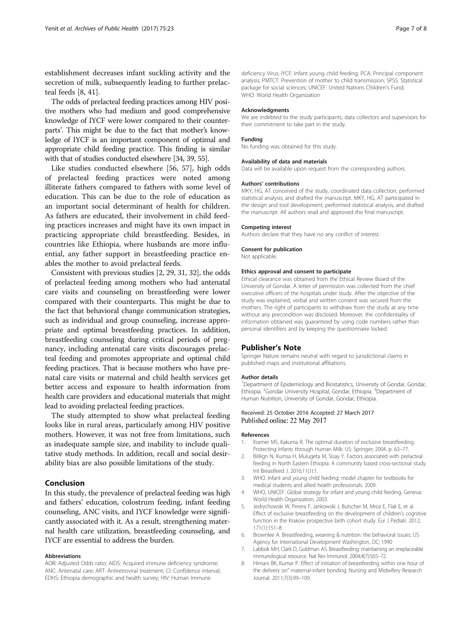<span id="page-6-0"></span>establishment decreases infant suckling activity and the secretion of milk, subsequently leading to further prelacteal feeds [8, [41\]](#page-7-0).

The odds of prelacteal feeding practices among HIV positive mothers who had medium and good comprehensive knowledge of IYCF were lower compared to their counterparts'. This might be due to the fact that mother's knowledge of IYCF is an important component of optimal and appropriate child feeding practice. This finding is similar with that of studies conducted elsewhere [\[34, 39, 55\]](#page-7-0).

Like studies conducted elsewhere [\[56](#page-7-0), [57](#page-7-0)], high odds of prelacteal feeding practices were noted among illiterate fathers compared to fathers with some level of education. This can be due to the role of education as an important social determinant of health for children. As fathers are educated, their involvement in child feeding practices increases and might have its own impact in practicing appropriate child breastfeeding. Besides, in countries like Ethiopia, where husbands are more influential, any father support in breastfeeding practice enables the mother to avoid prelacteal feeds.

Consistent with previous studies [2, [29, 31, 32](#page-7-0)], the odds of prelacteal feeding among mothers who had antenatal care visits and counseling on breastfeeding were lower compared with their counterparts. This might be due to the fact that behavioral change communication strategies, such as individual and group counseling, increase appropriate and optimal breastfeeding practices. In addition, breastfeeding counseling during critical periods of pregnancy, including antenatal care visits discourages prelacteal feeding and promotes appropriate and optimal child feeding practices. That is because mothers who have prenatal care visits or maternal and child health services get better access and exposure to health information from health care providers and educational materials that might lead to avoiding prelacteal feeding practices.

The study attempted to show what prelacteal feeding looks like in rural areas, particularly among HIV positive mothers. However, it was not free from limitations, such as inadequate sample size, and inability to include qualitative study methods. In addition, recall and social desirability bias are also possible limitations of the study.

## Conclusion

In this study, the prevalence of prelacteal feeding was high and fathers' education, colostrum feeding, infant feeding counseling, ANC visits, and IYCF knowledge were significantly associated with it. As a result, strengthening maternal health care utilization, breastfeeding counseling, and IYCF are essential to address the burden.

#### Abbreviations

AOR: Adjusted Odds ratio; AIDS: Acquired immune deficiency syndrome; ANC: Antenatal care; ART: Antiretroviral treatment; CI: Confidence interval; EDHS: Ethiopia demographic and health survey; HIV: Human Immune

deficiency Virus; IYCF: Infant young child feeding; PCA: Principal component analysis; PMTCT: Prevention of mother to child transmission; SPSS: Statistical package for social sciences; UNICEF: United Nations Children's Fund; WHO: World Health Organization

#### Acknowledgments

We are indebted to the study participants, data collectors and supervisors for their commitment to take part in the study.

#### Funding

No funding was obtained for this study.

#### Availability of data and materials

Data will be available upon request from the corresponding authors.

#### Authors' contributions

MKY, HG, AT conceived of the study, coordinated data collection, performed statistical analysis, and drafted the manuscript. MKY, HG, AT participated in the design and tool development, performed statistical analysis, and drafted the manuscript. All authors read and approved the final manuscript.

#### Competing interest

Authors declare that they have no any conflict of interest.

#### Consent for publication

Not applicable.

## Ethics approval and consent to participate

Ethical clearance was obtained from the Ethical Review Board of the University of Gondar. A letter of permission was collected from the chief executive officers of the hospitals under study. After the objective of the study was explained, verbal and written consent was secured from the mothers. The right of participants to withdraw from the study at any time without any precondition was disclosed. Moreover, the confidentiality of information obtained was guaranteed by using code numbers rather than personal identifiers and by keeping the questionnaire locked.

#### Publisher's Note

Springer Nature remains neutral with regard to jurisdictional claims in published maps and institutional affiliations.

#### Author details

<sup>1</sup>Department of Epidemiology and Biostatistics, University of Gondar, Gondar, Ethiopia. <sup>2</sup> Gondar University Hospital, Gondar, Ethiopia. <sup>3</sup> Department of Human Nutrition, University of Gondar, Gondar, Ethiopia.

#### Received: 25 October 2016 Accepted: 27 March 2017 Published online: 22 May 2017

#### References

- 1. Kramer MS, Kakuma R. The optimal duration of exclusive breastfeeding. Protecting Infants through Human Milk: US: Springer; 2004. p. 63–77.
- 2. Bililign N, Kumsa H, Mulugeta M, Sisay Y. Factors associated with prelacteal feeding in North Eastern Ethiopia: A community based cross-sectional study. Int Breastfeed J. 2016;11(1):1.
- 3. WHO. Infant and young child feeding: model chapter for textbooks for medical students and allied health professionals. 2009.
- 4. WHO, UNICEF. Global strategy for infant and young child feeding. Geneva: World Health Organization; 2003.
- 5. Jedrychowski W, Perera F, Jankowski J, Butscher M, Mroz E, Flak E, et al. Effect of exclusive breastfeeding on the development of children's cognitive function in the Krakow prospective birth cohort study. Eur J Pediatr. 2012; 171(1):151–8.
- 6. Brownlee A. Breastfeeding, weaning & nutrition: the behavioral issues: US Agency for International Development Washington, DC; 1990
- 7. Labbok MH, Clark D, Goldman AS. Breastfeeding: maintaining an irreplaceable immunological resource. Nat Rev Immunol. 2004;4(7):565–72.
- 8. Himani BK, Kumar P. Effect of initiation of breastfeeding within one hour of the delivery on" maternal-infant bonding. Nursing and Midwifery Research Journal. 2011;7(3):99–109.